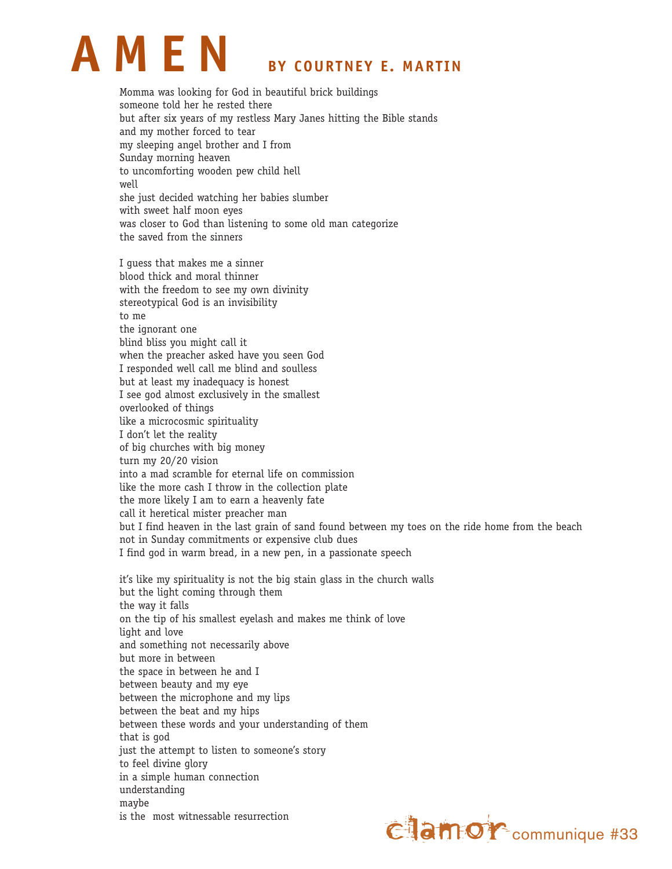

Momma was looking for God in beautiful brick buildings someone told her he rested there but after six years of my restless Mary Janes hitting the Bible stands and my mother forced to tear my sleeping angel brother and I from Sunday morning heaven to uncomforting wooden pew child hell well she just decided watching her babies slumber with sweet half moon eyes was closer to God than listening to some old man categorize the saved from the sinners

I guess that makes me a sinner blood thick and moral thinner with the freedom to see my own divinity stereotypical God is an invisibility to me the ignorant one blind bliss you might call it when the preacher asked have you seen God I responded well call me blind and soulless but at least my inadequacy is honest I see god almost exclusively in the smallest overlooked of things like a microcosmic spirituality I don't let the reality of big churches with big money turn my 20/20 vision into a mad scramble for eternal life on commission like the more cash I throw in the collection plate the more likely I am to earn a heavenly fate call it heretical mister preacher man but I find heaven in the last grain of sand found between my toes on the ride home from the beach not in Sunday commitments or expensive club dues I find god in warm bread, in a new pen, in a passionate speech

it's like my spirituality is not the big stain glass in the church walls but the light coming through them the way it falls on the tip of his smallest eyelash and makes me think of love light and love and something not necessarily above but more in between the space in between he and I between beauty and my eye between the microphone and my lips between the beat and my hips between these words and your understanding of them that is god just the attempt to listen to someone's story to feel divine glory in a simple human connection understanding maybe is the most witnessable resurrection